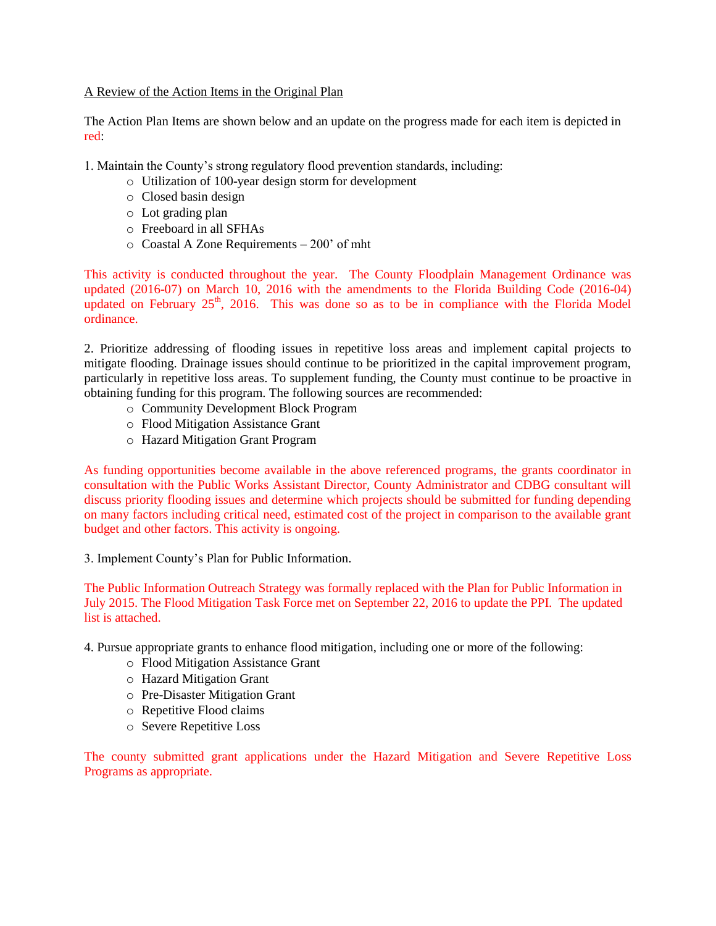A Review of the Action Items in the Original Plan

The Action Plan Items are shown below and an update on the progress made for each item is depicted in red:

1. Maintain the County's strong regulatory flood prevention standards, including:

- o Utilization of 100-year design storm for development
- o Closed basin design
- o Lot grading plan
- o Freeboard in all SFHAs
- o Coastal A Zone Requirements 200' of mht

This activity is conducted throughout the year. The County Floodplain Management Ordinance was updated (2016-07) on March 10, 2016 with the amendments to the Florida Building Code (2016-04) updated on February  $25<sup>th</sup>$ , 2016. This was done so as to be in compliance with the Florida Model ordinance.

2. Prioritize addressing of flooding issues in repetitive loss areas and implement capital projects to mitigate flooding. Drainage issues should continue to be prioritized in the capital improvement program, particularly in repetitive loss areas. To supplement funding, the County must continue to be proactive in obtaining funding for this program. The following sources are recommended:

- o Community Development Block Program
- o Flood Mitigation Assistance Grant
- o Hazard Mitigation Grant Program

As funding opportunities become available in the above referenced programs, the grants coordinator in consultation with the Public Works Assistant Director, County Administrator and CDBG consultant will discuss priority flooding issues and determine which projects should be submitted for funding depending on many factors including critical need, estimated cost of the project in comparison to the available grant budget and other factors. This activity is ongoing.

3. Implement County's Plan for Public Information.

The Public Information Outreach Strategy was formally replaced with the Plan for Public Information in July 2015. The Flood Mitigation Task Force met on September 22, 2016 to update the PPI. The updated list is attached.

- 4. Pursue appropriate grants to enhance flood mitigation, including one or more of the following:
	- o Flood Mitigation Assistance Grant
	- o Hazard Mitigation Grant
	- o Pre-Disaster Mitigation Grant
	- o Repetitive Flood claims
	- o Severe Repetitive Loss

The county submitted grant applications under the Hazard Mitigation and Severe Repetitive Loss Programs as appropriate.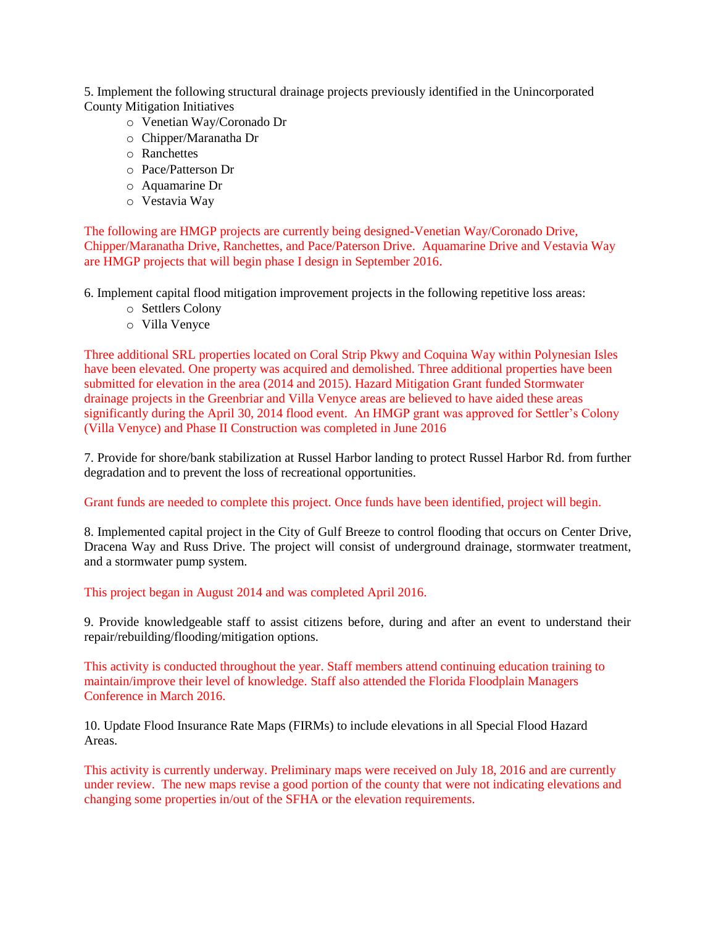5. Implement the following structural drainage projects previously identified in the Unincorporated County Mitigation Initiatives

- o Venetian Way/Coronado Dr
- o Chipper/Maranatha Dr
- o Ranchettes
- o Pace/Patterson Dr
- o Aquamarine Dr
- o Vestavia Way

The following are HMGP projects are currently being designed-Venetian Way/Coronado Drive, Chipper/Maranatha Drive, Ranchettes, and Pace/Paterson Drive. Aquamarine Drive and Vestavia Way are HMGP projects that will begin phase I design in September 2016.

6. Implement capital flood mitigation improvement projects in the following repetitive loss areas:

- o Settlers Colony
- o Villa Venyce

Three additional SRL properties located on Coral Strip Pkwy and Coquina Way within Polynesian Isles have been elevated. One property was acquired and demolished. Three additional properties have been submitted for elevation in the area (2014 and 2015). Hazard Mitigation Grant funded Stormwater drainage projects in the Greenbriar and Villa Venyce areas are believed to have aided these areas significantly during the April 30, 2014 flood event. An HMGP grant was approved for Settler's Colony (Villa Venyce) and Phase II Construction was completed in June 2016

7. Provide for shore/bank stabilization at Russel Harbor landing to protect Russel Harbor Rd. from further degradation and to prevent the loss of recreational opportunities.

Grant funds are needed to complete this project. Once funds have been identified, project will begin.

8. Implemented capital project in the City of Gulf Breeze to control flooding that occurs on Center Drive, Dracena Way and Russ Drive. The project will consist of underground drainage, stormwater treatment, and a stormwater pump system.

This project began in August 2014 and was completed April 2016.

9. Provide knowledgeable staff to assist citizens before, during and after an event to understand their repair/rebuilding/flooding/mitigation options.

This activity is conducted throughout the year. Staff members attend continuing education training to maintain/improve their level of knowledge. Staff also attended the Florida Floodplain Managers Conference in March 2016.

10. Update Flood Insurance Rate Maps (FIRMs) to include elevations in all Special Flood Hazard Areas.

This activity is currently underway. Preliminary maps were received on July 18, 2016 and are currently under review. The new maps revise a good portion of the county that were not indicating elevations and changing some properties in/out of the SFHA or the elevation requirements.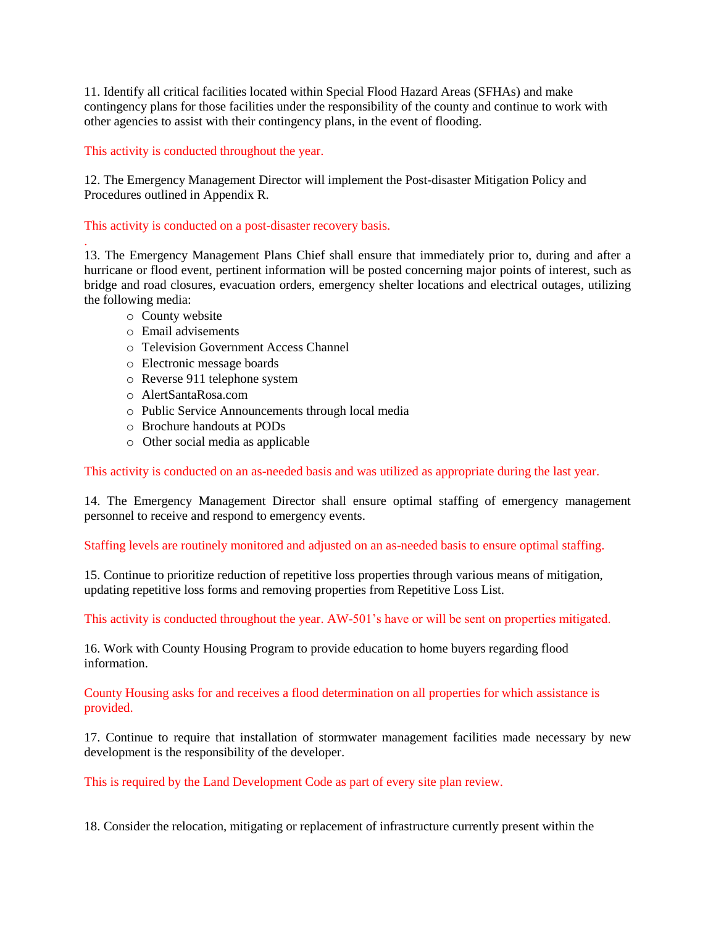11. Identify all critical facilities located within Special Flood Hazard Areas (SFHAs) and make contingency plans for those facilities under the responsibility of the county and continue to work with other agencies to assist with their contingency plans, in the event of flooding.

## This activity is conducted throughout the year.

12. The Emergency Management Director will implement the Post-disaster Mitigation Policy and Procedures outlined in Appendix R.

## This activity is conducted on a post-disaster recovery basis.

13. The Emergency Management Plans Chief shall ensure that immediately prior to, during and after a hurricane or flood event, pertinent information will be posted concerning major points of interest, such as bridge and road closures, evacuation orders, emergency shelter locations and electrical outages, utilizing the following media:

o County website

.

- o Email advisements
- o Television Government Access Channel
- o Electronic message boards
- o Reverse 911 telephone system
- o AlertSantaRosa.com
- o Public Service Announcements through local media
- o Brochure handouts at PODs
- o Other social media as applicable

This activity is conducted on an as-needed basis and was utilized as appropriate during the last year.

14. The Emergency Management Director shall ensure optimal staffing of emergency management personnel to receive and respond to emergency events.

Staffing levels are routinely monitored and adjusted on an as-needed basis to ensure optimal staffing.

15. Continue to prioritize reduction of repetitive loss properties through various means of mitigation, updating repetitive loss forms and removing properties from Repetitive Loss List.

This activity is conducted throughout the year. AW-501's have or will be sent on properties mitigated.

16. Work with County Housing Program to provide education to home buyers regarding flood information.

County Housing asks for and receives a flood determination on all properties for which assistance is provided.

17. Continue to require that installation of stormwater management facilities made necessary by new development is the responsibility of the developer.

This is required by the Land Development Code as part of every site plan review.

18. Consider the relocation, mitigating or replacement of infrastructure currently present within the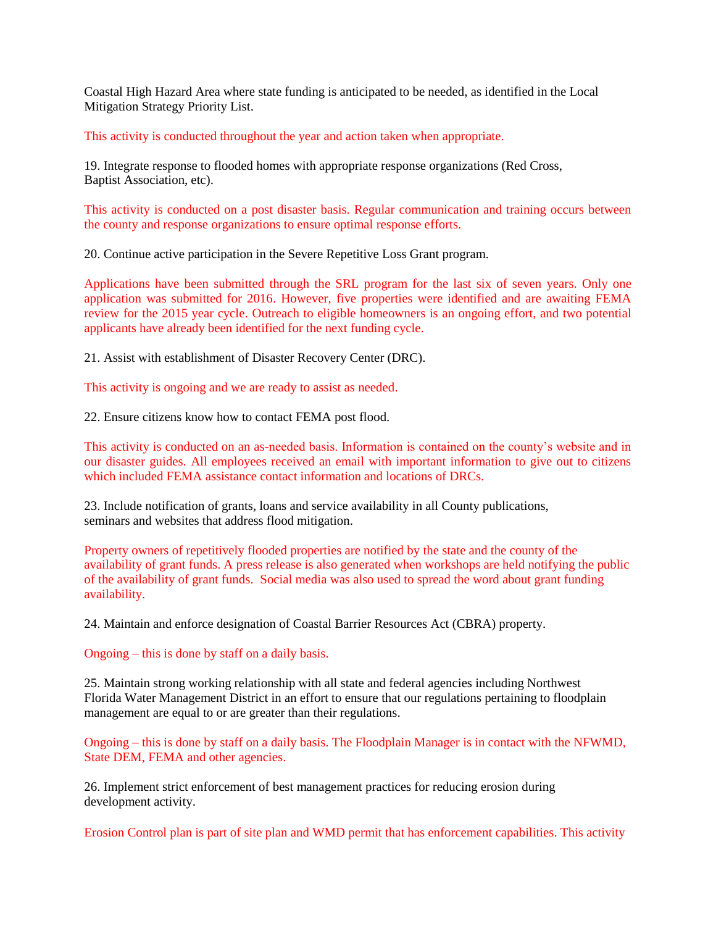Coastal High Hazard Area where state funding is anticipated to be needed, as identified in the Local Mitigation Strategy Priority List.

This activity is conducted throughout the year and action taken when appropriate.

19. Integrate response to flooded homes with appropriate response organizations (Red Cross, Baptist Association, etc).

This activity is conducted on a post disaster basis. Regular communication and training occurs between the county and response organizations to ensure optimal response efforts.

20. Continue active participation in the Severe Repetitive Loss Grant program.

Applications have been submitted through the SRL program for the last six of seven years. Only one application was submitted for 2016. However, five properties were identified and are awaiting FEMA review for the 2015 year cycle. Outreach to eligible homeowners is an ongoing effort, and two potential applicants have already been identified for the next funding cycle.

21. Assist with establishment of Disaster Recovery Center (DRC).

This activity is ongoing and we are ready to assist as needed.

22. Ensure citizens know how to contact FEMA post flood.

This activity is conducted on an as-needed basis. Information is contained on the county's website and in our disaster guides. All employees received an email with important information to give out to citizens which included FEMA assistance contact information and locations of DRCs.

23. Include notification of grants, loans and service availability in all County publications, seminars and websites that address flood mitigation.

Property owners of repetitively flooded properties are notified by the state and the county of the availability of grant funds. A press release is also generated when workshops are held notifying the public of the availability of grant funds. Social media was also used to spread the word about grant funding availability.

24. Maintain and enforce designation of Coastal Barrier Resources Act (CBRA) property.

Ongoing – this is done by staff on a daily basis.

25. Maintain strong working relationship with all state and federal agencies including Northwest Florida Water Management District in an effort to ensure that our regulations pertaining to floodplain management are equal to or are greater than their regulations.

Ongoing – this is done by staff on a daily basis. The Floodplain Manager is in contact with the NFWMD, State DEM, FEMA and other agencies.

26. Implement strict enforcement of best management practices for reducing erosion during development activity.

Erosion Control plan is part of site plan and WMD permit that has enforcement capabilities. This activity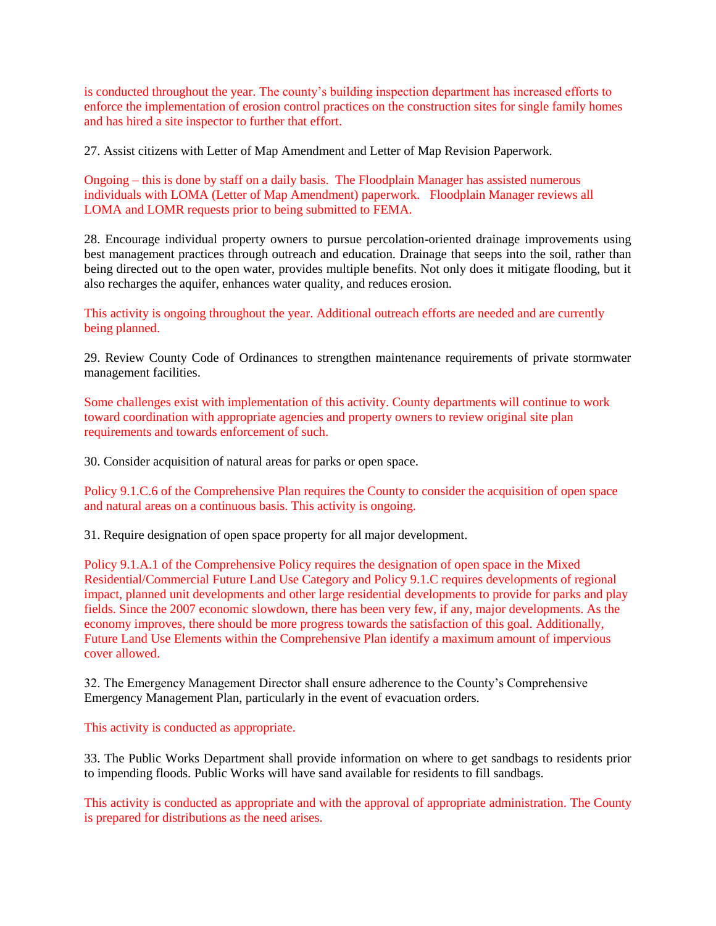is conducted throughout the year. The county's building inspection department has increased efforts to enforce the implementation of erosion control practices on the construction sites for single family homes and has hired a site inspector to further that effort.

27. Assist citizens with Letter of Map Amendment and Letter of Map Revision Paperwork.

Ongoing – this is done by staff on a daily basis. The Floodplain Manager has assisted numerous individuals with LOMA (Letter of Map Amendment) paperwork. Floodplain Manager reviews all LOMA and LOMR requests prior to being submitted to FEMA.

28. Encourage individual property owners to pursue percolation-oriented drainage improvements using best management practices through outreach and education. Drainage that seeps into the soil, rather than being directed out to the open water, provides multiple benefits. Not only does it mitigate flooding, but it also recharges the aquifer, enhances water quality, and reduces erosion.

This activity is ongoing throughout the year. Additional outreach efforts are needed and are currently being planned.

29. Review County Code of Ordinances to strengthen maintenance requirements of private stormwater management facilities.

Some challenges exist with implementation of this activity. County departments will continue to work toward coordination with appropriate agencies and property owners to review original site plan requirements and towards enforcement of such.

30. Consider acquisition of natural areas for parks or open space.

Policy 9.1.C.6 of the Comprehensive Plan requires the County to consider the acquisition of open space and natural areas on a continuous basis. This activity is ongoing.

31. Require designation of open space property for all major development.

Policy 9.1.A.1 of the Comprehensive Policy requires the designation of open space in the Mixed Residential/Commercial Future Land Use Category and Policy 9.1.C requires developments of regional impact, planned unit developments and other large residential developments to provide for parks and play fields. Since the 2007 economic slowdown, there has been very few, if any, major developments. As the economy improves, there should be more progress towards the satisfaction of this goal. Additionally, Future Land Use Elements within the Comprehensive Plan identify a maximum amount of impervious cover allowed.

32. The Emergency Management Director shall ensure adherence to the County's Comprehensive Emergency Management Plan, particularly in the event of evacuation orders.

This activity is conducted as appropriate.

33. The Public Works Department shall provide information on where to get sandbags to residents prior to impending floods. Public Works will have sand available for residents to fill sandbags.

This activity is conducted as appropriate and with the approval of appropriate administration. The County is prepared for distributions as the need arises.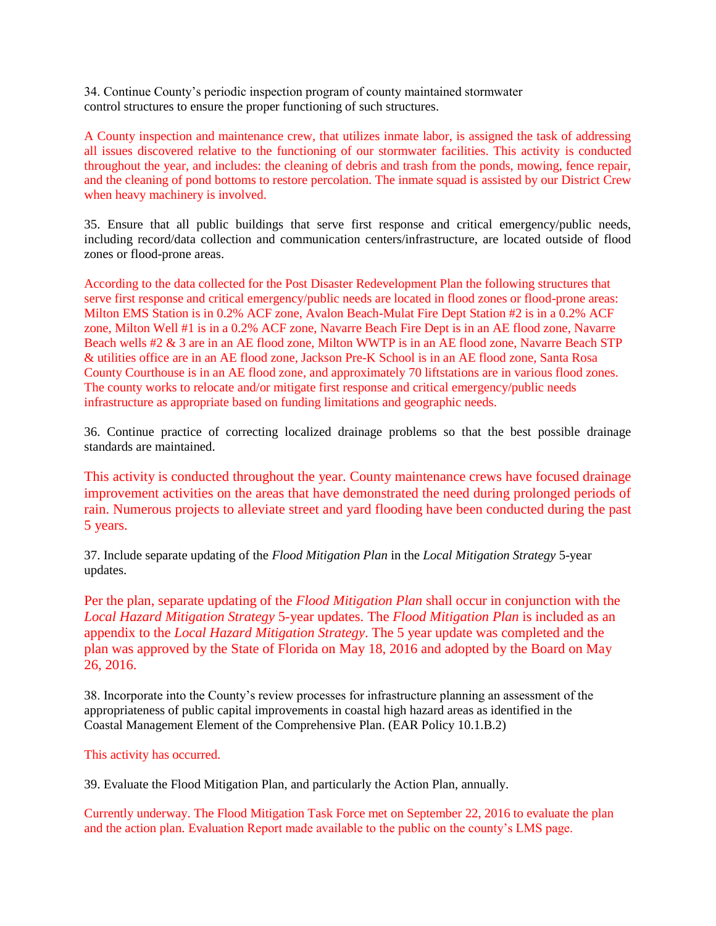34. Continue County's periodic inspection program of county maintained stormwater control structures to ensure the proper functioning of such structures.

A County inspection and maintenance crew, that utilizes inmate labor, is assigned the task of addressing all issues discovered relative to the functioning of our stormwater facilities. This activity is conducted throughout the year, and includes: the cleaning of debris and trash from the ponds, mowing, fence repair, and the cleaning of pond bottoms to restore percolation. The inmate squad is assisted by our District Crew when heavy machinery is involved.

35. Ensure that all public buildings that serve first response and critical emergency/public needs, including record/data collection and communication centers/infrastructure, are located outside of flood zones or flood-prone areas.

According to the data collected for the Post Disaster Redevelopment Plan the following structures that serve first response and critical emergency/public needs are located in flood zones or flood-prone areas: Milton EMS Station is in 0.2% ACF zone, Avalon Beach-Mulat Fire Dept Station #2 is in a 0.2% ACF zone, Milton Well #1 is in a 0.2% ACF zone, Navarre Beach Fire Dept is in an AE flood zone, Navarre Beach wells #2 & 3 are in an AE flood zone, Milton WWTP is in an AE flood zone, Navarre Beach STP & utilities office are in an AE flood zone, Jackson Pre-K School is in an AE flood zone, Santa Rosa County Courthouse is in an AE flood zone, and approximately 70 liftstations are in various flood zones. The county works to relocate and/or mitigate first response and critical emergency/public needs infrastructure as appropriate based on funding limitations and geographic needs.

36. Continue practice of correcting localized drainage problems so that the best possible drainage standards are maintained.

This activity is conducted throughout the year. County maintenance crews have focused drainage improvement activities on the areas that have demonstrated the need during prolonged periods of rain. Numerous projects to alleviate street and yard flooding have been conducted during the past 5 years.

37. Include separate updating of the *Flood Mitigation Plan* in the *Local Mitigation Strategy* 5-year updates.

Per the plan, separate updating of the *Flood Mitigation Plan* shall occur in conjunction with the *Local Hazard Mitigation Strategy* 5-year updates. The *Flood Mitigation Plan* is included as an appendix to the *Local Hazard Mitigation Strategy*. The 5 year update was completed and the plan was approved by the State of Florida on May 18, 2016 and adopted by the Board on May 26, 2016.

38. Incorporate into the County's review processes for infrastructure planning an assessment of the appropriateness of public capital improvements in coastal high hazard areas as identified in the Coastal Management Element of the Comprehensive Plan. (EAR Policy 10.1.B.2)

## This activity has occurred.

39. Evaluate the Flood Mitigation Plan, and particularly the Action Plan, annually.

Currently underway. The Flood Mitigation Task Force met on September 22, 2016 to evaluate the plan and the action plan. Evaluation Report made available to the public on the county's LMS page.